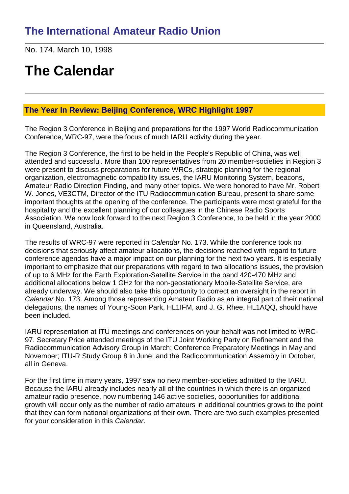No. 174, March 10, 1998

# **The Calendar**

## **The Year In Review: Beijing Conference, WRC Highlight 1997**

The Region 3 Conference in Beijing and preparations for the 1997 World Radiocommunication Conference, WRC-97, were the focus of much IARU activity during the year.

The Region 3 Conference, the first to be held in the People's Republic of China, was well attended and successful. More than 100 representatives from 20 member-societies in Region 3 were present to discuss preparations for future WRCs, strategic planning for the regional organization, electromagnetic compatibility issues, the IARU Monitoring System, beacons, Amateur Radio Direction Finding, and many other topics. We were honored to have Mr. Robert W. Jones, VE3CTM, Director of the ITU Radiocommunication Bureau, present to share some important thoughts at the opening of the conference. The participants were most grateful for the hospitality and the excellent planning of our colleagues in the Chinese Radio Sports Association. We now look forward to the next Region 3 Conference, to be held in the year 2000 in Queensland, Australia.

The results of WRC-97 were reported in *Calendar* No. 173. While the conference took no decisions that seriously affect amateur allocations, the decisions reached with regard to future conference agendas have a major impact on our planning for the next two years. It is especially important to emphasize that our preparations with regard to two allocations issues, the provision of up to 6 MHz for the Earth Exploration-Satellite Service in the band 420-470 MHz and additional allocations below 1 GHz for the non-geostationary Mobile-Satellite Service, are already underway. We should also take this opportunity to correct an oversight in the report in *Calendar* No. 173. Among those representing Amateur Radio as an integral part of their national delegations, the names of Young-Soon Park, HL1IFM, and J. G. Rhee, HL1AQQ, should have been included.

IARU representation at ITU meetings and conferences on your behalf was not limited to WRC-97. Secretary Price attended meetings of the ITU Joint Working Party on Refinement and the Radiocommunication Advisory Group in March; Conference Preparatory Meetings in May and November; ITU-R Study Group 8 in June; and the Radiocommunication Assembly in October, all in Geneva.

For the first time in many years, 1997 saw no new member-societies admitted to the IARU. Because the IARU already includes nearly all of the countries in which there is an organized amateur radio presence, now numbering 146 active societies, opportunities for additional growth will occur only as the number of radio amateurs in additional countries grows to the point that they can form national organizations of their own. There are two such examples presented for your consideration in this *Calendar*.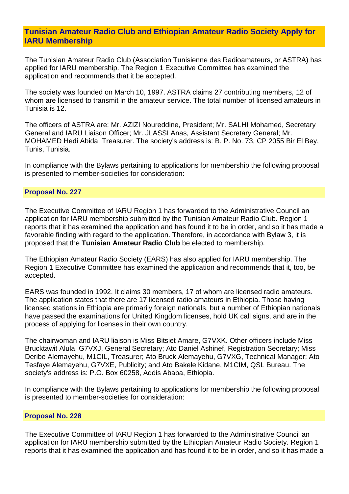## **Tunisian Amateur Radio Club and Ethiopian Amateur Radio Society Apply for IARU Membership**

The Tunisian Amateur Radio Club (Association Tunisienne des Radioamateurs, or ASTRA) has applied for IARU membership. The Region 1 Executive Committee has examined the application and recommends that it be accepted.

The society was founded on March 10, 1997. ASTRA claims 27 contributing members, 12 of whom are licensed to transmit in the amateur service. The total number of licensed amateurs in Tunisia is 12.

The officers of ASTRA are: Mr. AZIZI Noureddine, President; Mr. SALHI Mohamed, Secretary General and IARU Liaison Officer; Mr. JLASSI Anas, Assistant Secretary General; Mr. MOHAMED Hedi Abida, Treasurer. The society's address is: B. P. No. 73, CP 2055 Bir El Bey, Tunis, Tunisia.

In compliance with the Bylaws pertaining to applications for membership the following proposal is presented to member-societies for consideration:

#### **Proposal No. 227**

The Executive Committee of IARU Region 1 has forwarded to the Administrative Council an application for IARU membership submitted by the Tunisian Amateur Radio Club. Region 1 reports that it has examined the application and has found it to be in order, and so it has made a favorable finding with regard to the application. Therefore, in accordance with Bylaw 3, it is proposed that the **Tunisian Amateur Radio Club** be elected to membership.

The Ethiopian Amateur Radio Society (EARS) has also applied for IARU membership. The Region 1 Executive Committee has examined the application and recommends that it, too, be accepted.

EARS was founded in 1992. It claims 30 members, 17 of whom are licensed radio amateurs. The application states that there are 17 licensed radio amateurs in Ethiopia. Those having licensed stations in Ethiopia are primarily foreign nationals, but a number of Ethiopian nationals have passed the examinations for United Kingdom licenses, hold UK call signs, and are in the process of applying for licenses in their own country.

The chairwoman and IARU liaison is Miss Bitsiet Amare, G7VXK. Other officers include Miss Brucktawit Alula, G7VXJ, General Secretary; Ato Daniel Ashinef, Registration Secretary; Miss Deribe Alemayehu, M1CIL, Treasurer; Ato Bruck Alemayehu, G7VXG, Technical Manager; Ato Tesfaye Alemayehu, G7VXE, Publicity; and Ato Bakele Kidane, M1CIM, QSL Bureau. The society's address is: P.O. Box 60258, Addis Ababa, Ethiopia.

In compliance with the Bylaws pertaining to applications for membership the following proposal is presented to member-societies for consideration:

#### **Proposal No. 228**

The Executive Committee of IARU Region 1 has forwarded to the Administrative Council an application for IARU membership submitted by the Ethiopian Amateur Radio Society. Region 1 reports that it has examined the application and has found it to be in order, and so it has made a